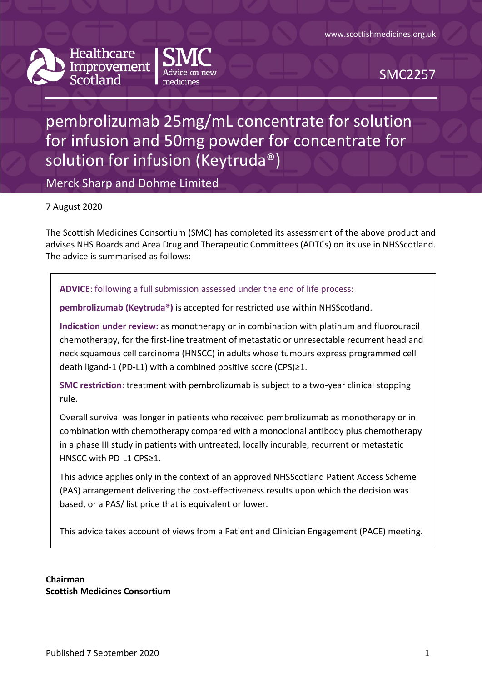



SMC2257

# pembrolizumab 25mg/mL concentrate for solution for infusion and 50mg powder for concentrate for solution for infusion (Keytruda®)

Merck Sharp and Dohme Limited

7 August 2020

The Scottish Medicines Consortium (SMC) has completed its assessment of the above product and advises NHS Boards and Area Drug and Therapeutic Committees (ADTCs) on its use in NHSScotland. The advice is summarised as follows:

#### **ADVICE**: following a full submission assessed under the end of life process:

**pembrolizumab (Keytruda®)** is accepted for restricted use within NHSScotland.

**Indication under review:** as monotherapy or in combination with platinum and fluorouracil chemotherapy, for the first-line treatment of metastatic or unresectable recurrent head and neck squamous cell carcinoma (HNSCC) in adults whose tumours express programmed cell death ligand-1 (PD-L1) with a combined positive score (CPS)≥1.

**SMC restriction**: treatment with pembrolizumab is subject to a two-year clinical stopping rule.

Overall survival was longer in patients who received pembrolizumab as monotherapy or in combination with chemotherapy compared with a monoclonal antibody plus chemotherapy in a phase III study in patients with untreated, locally incurable, recurrent or metastatic HNSCC with PD-L1 CPS≥1.

This advice applies only in the context of an approved NHSScotland Patient Access Scheme (PAS) arrangement delivering the cost-effectiveness results upon which the decision was based, or a PAS/ list price that is equivalent or lower.

This advice takes account of views from a Patient and Clinician Engagement (PACE) meeting.

**Chairman Scottish Medicines Consortium**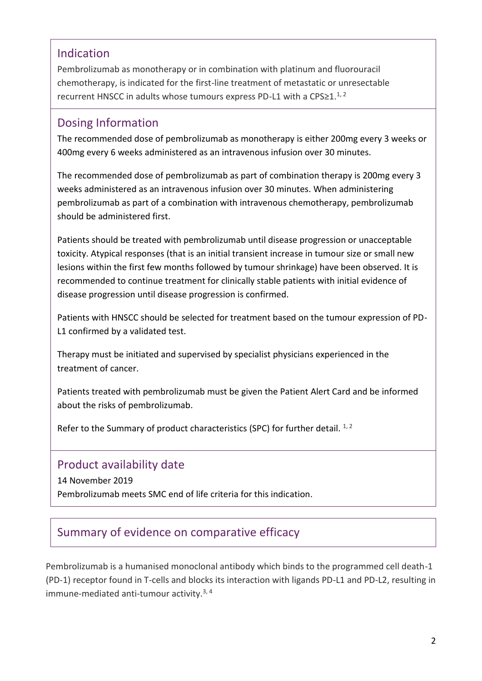### Indication

Pembrolizumab as monotherapy or in combination with platinum and fluorouracil chemotherapy, is indicated for the first-line treatment of metastatic or unresectable recurrent HNSCC in adults whose tumours express PD-L1 with a CPS≥1.<sup>1, 2</sup>

#### Dosing Information

The recommended dose of pembrolizumab as monotherapy is either 200mg every 3 weeks or 400mg every 6 weeks administered as an intravenous infusion over 30 minutes.

The recommended dose of pembrolizumab as part of combination therapy is 200mg every 3 weeks administered as an intravenous infusion over 30 minutes. When administering pembrolizumab as part of a combination with intravenous chemotherapy, pembrolizumab should be administered first.

Patients should be treated with pembrolizumab until disease progression or unacceptable toxicity. Atypical responses (that is an initial transient increase in tumour size or small new lesions within the first few months followed by tumour shrinkage) have been observed. It is recommended to continue treatment for clinically stable patients with initial evidence of disease progression until disease progression is confirmed.

Patients with HNSCC should be selected for treatment based on the tumour expression of PD-L1 confirmed by a validated test.

Therapy must be initiated and supervised by specialist physicians experienced in the treatment of cancer.

Patients treated with pembrolizumab must be given the Patient Alert Card and be informed about the risks of pembrolizumab.

Refer to the Summary of product characteristics (SPC) for further detail.  $1/2$ 

### Product availability date

14 November 2019 Pembrolizumab meets SMC end of life criteria for this indication.

# Summary of evidence on comparative efficacy

Pembrolizumab is a humanised monoclonal antibody which binds to the programmed cell death-1 (PD-1) receptor found in T-cells and blocks its interaction with ligands PD-L1 and PD-L2, resulting in immune-mediated anti-tumour activity. $3,4$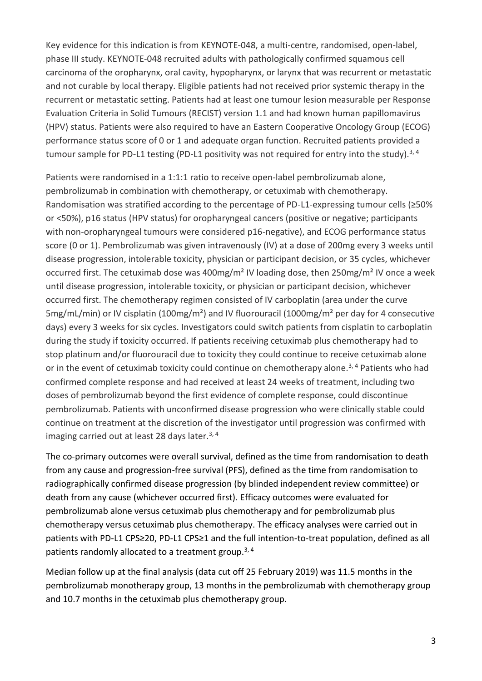Key evidence for this indication is from KEYNOTE-048, a multi-centre, randomised, open-label, phase III study. KEYNOTE-048 recruited adults with pathologically confirmed squamous cell carcinoma of the oropharynx, oral cavity, hypopharynx, or larynx that was recurrent or metastatic and not curable by local therapy. Eligible patients had not received prior systemic therapy in the recurrent or metastatic setting. Patients had at least one tumour lesion measurable per Response Evaluation Criteria in Solid Tumours (RECIST) version 1.1 and had known human papillomavirus (HPV) status. Patients were also required to have an Eastern Cooperative Oncology Group (ECOG) performance status score of 0 or 1 and adequate organ function. Recruited patients provided a tumour sample for PD-L1 testing (PD-L1 positivity was not required for entry into the study).<sup>3, 4</sup>

Patients were randomised in a 1:1:1 ratio to receive open-label pembrolizumab alone, pembrolizumab in combination with chemotherapy, or cetuximab with chemotherapy. Randomisation was stratified according to the percentage of PD-L1-expressing tumour cells (≥50% or <50%), p16 status (HPV status) for oropharyngeal cancers (positive or negative; participants with non-oropharyngeal tumours were considered p16-negative), and ECOG performance status score (0 or 1). Pembrolizumab was given intravenously (IV) at a dose of 200mg every 3 weeks until disease progression, intolerable toxicity, physician or participant decision, or 35 cycles, whichever occurred first. The cetuximab dose was 400mg/m² IV loading dose, then 250mg/m² IV once a week until disease progression, intolerable toxicity, or physician or participant decision, whichever occurred first. The chemotherapy regimen consisted of IV carboplatin (area under the curve 5mg/mL/min) or IV cisplatin (100mg/m²) and IV fluorouracil (1000mg/m² per day for 4 consecutive days) every 3 weeks for six cycles. Investigators could switch patients from cisplatin to carboplatin during the study if toxicity occurred. If patients receiving cetuximab plus chemotherapy had to stop platinum and/or fluorouracil due to toxicity they could continue to receive cetuximab alone or in the event of cetuximab toxicity could continue on chemotherapy alone.<sup>3, 4</sup> Patients who had confirmed complete response and had received at least 24 weeks of treatment, including two doses of pembrolizumab beyond the first evidence of complete response, could discontinue pembrolizumab. Patients with unconfirmed disease progression who were clinically stable could continue on treatment at the discretion of the investigator until progression was confirmed with imaging carried out at least 28 days later.<sup>3, 4</sup>

The co-primary outcomes were overall survival, defined as the time from randomisation to death from any cause and progression-free survival (PFS), defined as the time from randomisation to radiographically confirmed disease progression (by blinded independent review committee) or death from any cause (whichever occurred first). Efficacy outcomes were evaluated for pembrolizumab alone versus cetuximab plus chemotherapy and for pembrolizumab plus chemotherapy versus cetuximab plus chemotherapy. The efficacy analyses were carried out in patients with PD-L1 CPS≥20, PD-L1 CPS≥1 and the full intention-to-treat population, defined as all patients randomly allocated to a treatment group.<sup>3, 4</sup>

Median follow up at the final analysis (data cut off 25 February 2019) was 11.5 months in the pembrolizumab monotherapy group, 13 months in the pembrolizumab with chemotherapy group and 10.7 months in the cetuximab plus chemotherapy group.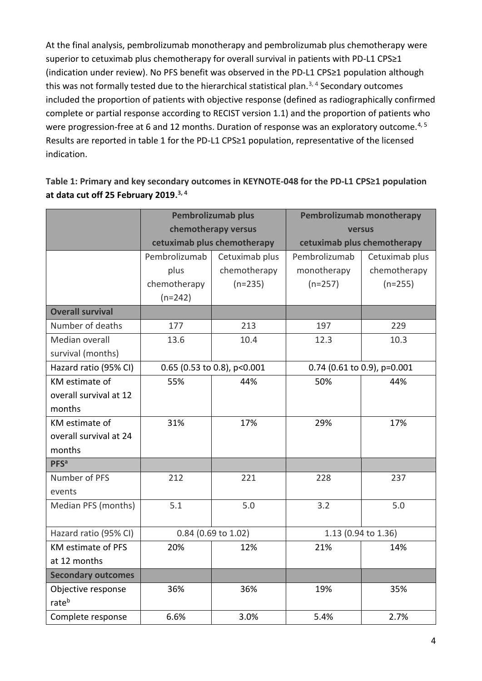At the final analysis, pembrolizumab monotherapy and pembrolizumab plus chemotherapy were superior to cetuximab plus chemotherapy for overall survival in patients with PD-L1 CPS≥1 (indication under review). No PFS benefit was observed in the PD-L1 CPS≥1 population although this was not formally tested due to the hierarchical statistical plan.<sup>3, 4</sup> Secondary outcomes included the proportion of patients with objective response (defined as radiographically confirmed complete or partial response according to RECIST version 1.1) and the proportion of patients who were progression-free at 6 and 12 months. Duration of response was an exploratory outcome.<sup>4, 5</sup> Results are reported in table 1 for the PD-L1 CPS≥1 population, representative of the licensed indication.

|                           | <b>Pembrolizumab plus</b> |                             |                             | Pembrolizumab monotherapy   |  |
|---------------------------|---------------------------|-----------------------------|-----------------------------|-----------------------------|--|
|                           |                           | chemotherapy versus         | versus                      |                             |  |
|                           |                           | cetuximab plus chemotherapy | cetuximab plus chemotherapy |                             |  |
|                           | Pembrolizumab             | Cetuximab plus              | Pembrolizumab               | Cetuximab plus              |  |
|                           | plus                      | chemotherapy                | monotherapy                 | chemotherapy                |  |
|                           | chemotherapy              | $(n=235)$                   | $(n=257)$                   | $(n=255)$                   |  |
|                           | $(n=242)$                 |                             |                             |                             |  |
| <b>Overall survival</b>   |                           |                             |                             |                             |  |
| Number of deaths          | 177                       | 213                         | 197                         | 229                         |  |
| Median overall            | 13.6                      | 10.4                        | 12.3                        | 10.3                        |  |
| survival (months)         |                           |                             |                             |                             |  |
| Hazard ratio (95% CI)     |                           | 0.65 (0.53 to 0.8), p<0.001 |                             | 0.74 (0.61 to 0.9), p=0.001 |  |
| KM estimate of            | 55%                       | 44%                         | 50%                         | 44%                         |  |
| overall survival at 12    |                           |                             |                             |                             |  |
| months                    |                           |                             |                             |                             |  |
| KM estimate of            | 31%                       | 17%                         | 29%                         | 17%                         |  |
| overall survival at 24    |                           |                             |                             |                             |  |
| months                    |                           |                             |                             |                             |  |
| <b>PFS</b> <sup>a</sup>   |                           |                             |                             |                             |  |
| Number of PFS             | 212                       | 221                         | 228                         | 237                         |  |
| events                    |                           |                             |                             |                             |  |
| Median PFS (months)       | 5.1                       | 5.0                         | 3.2                         | 5.0                         |  |
|                           |                           |                             |                             |                             |  |
| Hazard ratio (95% CI)     |                           | 0.84 (0.69 to 1.02)         | 1.13 (0.94 to 1.36)         |                             |  |
| <b>KM estimate of PFS</b> | 20%                       | 12%                         | 21%                         | 14%                         |  |
| at 12 months              |                           |                             |                             |                             |  |
| <b>Secondary outcomes</b> |                           |                             |                             |                             |  |
| Objective response        | 36%                       | 36%                         | 19%                         | 35%                         |  |
| rateb                     |                           |                             |                             |                             |  |
| Complete response         | 6.6%                      | 3.0%                        | 5.4%                        | 2.7%                        |  |

**Table 1: Primary and key secondary outcomes in KEYNOTE-048 for the PD-L1 CPS≥1 population at data cut off 25 February 2019. 3, 4**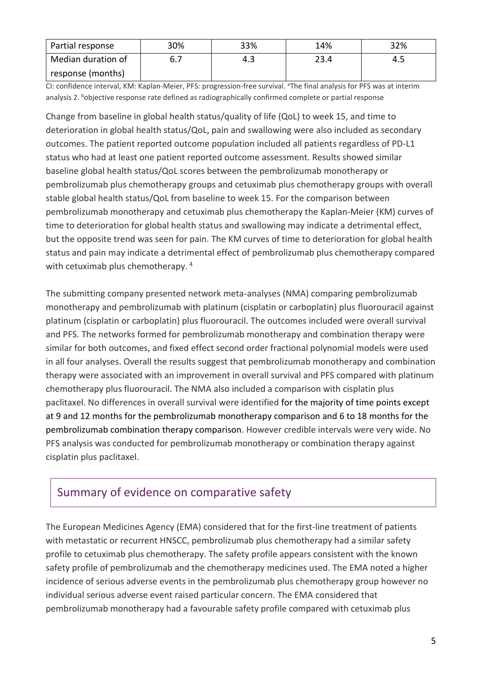| Partial response   | 30% | 33% | 14%  | 32% |
|--------------------|-----|-----|------|-----|
| Median duration of |     | 4.3 | 23.4 | 4.5 |
| response (months)  |     |     |      |     |

CI: confidence interval, KM: Kaplan-Meier, PFS: progression-free survival. <sup>a</sup>The final analysis for PFS was at interim analysis 2. bobjective response rate defined as radiographically confirmed complete or partial response

Change from baseline in global health status/quality of life (QoL) to week 15, and time to deterioration in global health status/QoL, pain and swallowing were also included as secondary outcomes. The patient reported outcome population included all patients regardless of PD-L1 status who had at least one patient reported outcome assessment. Results showed similar baseline global health status/QoL scores between the pembrolizumab monotherapy or pembrolizumab plus chemotherapy groups and cetuximab plus chemotherapy groups with overall stable global health status/QoL from baseline to week 15. For the comparison between pembrolizumab monotherapy and cetuximab plus chemotherapy the Kaplan-Meier (KM) curves of time to deterioration for global health status and swallowing may indicate a detrimental effect, but the opposite trend was seen for pain. The KM curves of time to deterioration for global health status and pain may indicate a detrimental effect of pembrolizumab plus chemotherapy compared with cetuximab plus chemotherapy.<sup>4</sup>

The submitting company presented network meta-analyses (NMA) comparing pembrolizumab monotherapy and pembrolizumab with platinum (cisplatin or carboplatin) plus fluorouracil against platinum (cisplatin or carboplatin) plus fluorouracil. The outcomes included were overall survival and PFS. The networks formed for pembrolizumab monotherapy and combination therapy were similar for both outcomes, and fixed effect second order fractional polynomial models were used in all four analyses. Overall the results suggest that pembrolizumab monotherapy and combination therapy were associated with an improvement in overall survival and PFS compared with platinum chemotherapy plus fluorouracil. The NMA also included a comparison with cisplatin plus paclitaxel. No differences in overall survival were identified for the majority of time points except at 9 and 12 months for the pembrolizumab monotherapy comparison and 6 to 18 months for the pembrolizumab combination therapy comparison. However credible intervals were very wide. No PFS analysis was conducted for pembrolizumab monotherapy or combination therapy against cisplatin plus paclitaxel.

### Summary of evidence on comparative safety

The European Medicines Agency (EMA) considered that for the first-line treatment of patients with metastatic or recurrent HNSCC, pembrolizumab plus chemotherapy had a similar safety profile to cetuximab plus chemotherapy. The safety profile appears consistent with the known safety profile of pembrolizumab and the chemotherapy medicines used. The EMA noted a higher incidence of serious adverse events in the pembrolizumab plus chemotherapy group however no individual serious adverse event raised particular concern. The EMA considered that pembrolizumab monotherapy had a favourable safety profile compared with cetuximab plus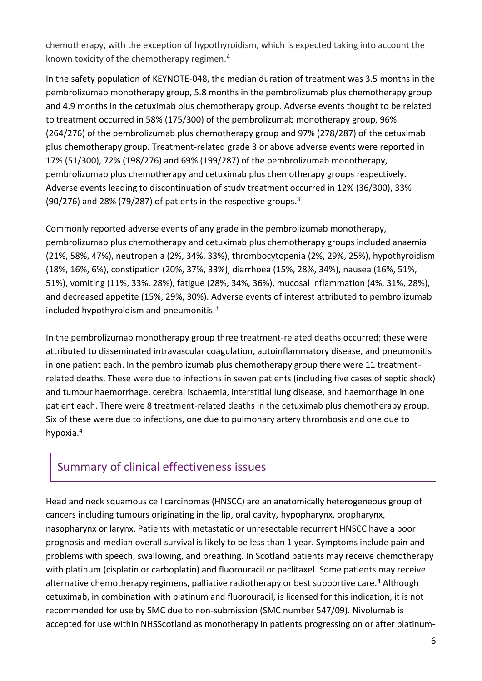chemotherapy, with the exception of hypothyroidism, which is expected taking into account the known toxicity of the chemotherapy regimen.<sup>4</sup>

In the safety population of KEYNOTE-048, the median duration of treatment was 3.5 months in the pembrolizumab monotherapy group, 5.8 months in the pembrolizumab plus chemotherapy group and 4.9 months in the cetuximab plus chemotherapy group. Adverse events thought to be related to treatment occurred in 58% (175/300) of the pembrolizumab monotherapy group, 96% (264/276) of the pembrolizumab plus chemotherapy group and 97% (278/287) of the cetuximab plus chemotherapy group. Treatment-related grade 3 or above adverse events were reported in 17% (51/300), 72% (198/276) and 69% (199/287) of the pembrolizumab monotherapy, pembrolizumab plus chemotherapy and cetuximab plus chemotherapy groups respectively. Adverse events leading to discontinuation of study treatment occurred in 12% (36/300), 33% (90/276) and 28% (79/287) of patients in the respective groups.<sup>3</sup>

Commonly reported adverse events of any grade in the pembrolizumab monotherapy, pembrolizumab plus chemotherapy and cetuximab plus chemotherapy groups included anaemia (21%, 58%, 47%), neutropenia (2%, 34%, 33%), thrombocytopenia (2%, 29%, 25%), hypothyroidism (18%, 16%, 6%), constipation (20%, 37%, 33%), diarrhoea (15%, 28%, 34%), nausea (16%, 51%, 51%), vomiting (11%, 33%, 28%), fatigue (28%, 34%, 36%), mucosal inflammation (4%, 31%, 28%), and decreased appetite (15%, 29%, 30%). Adverse events of interest attributed to pembrolizumab included hypothyroidism and pneumonitis. $3$ 

In the pembrolizumab monotherapy group three treatment-related deaths occurred; these were attributed to disseminated intravascular coagulation, autoinflammatory disease, and pneumonitis in one patient each. In the pembrolizumab plus chemotherapy group there were 11 treatmentrelated deaths. These were due to infections in seven patients (including five cases of septic shock) and tumour haemorrhage, cerebral ischaemia, interstitial lung disease, and haemorrhage in one patient each. There were 8 treatment-related deaths in the cetuximab plus chemotherapy group. Six of these were due to infections, one due to pulmonary artery thrombosis and one due to hypoxia.<sup>4</sup>

### Summary of clinical effectiveness issues

Head and neck squamous cell carcinomas (HNSCC) are an anatomically heterogeneous group of cancers including tumours originating in the lip, oral cavity, hypopharynx, oropharynx, nasopharynx or larynx. Patients with metastatic or unresectable recurrent HNSCC have a poor prognosis and median overall survival is likely to be less than 1 year. Symptoms include pain and problems with speech, swallowing, and breathing. In Scotland patients may receive chemotherapy with platinum (cisplatin or carboplatin) and fluorouracil or paclitaxel. Some patients may receive alternative chemotherapy regimens, palliative radiotherapy or best supportive care.<sup>4</sup> Although cetuximab, in combination with platinum and fluorouracil, is licensed for this indication, it is not recommended for use by SMC due to non-submission (SMC number 547/09). Nivolumab is accepted for use within NHSScotland as monotherapy in patients progressing on or after platinum-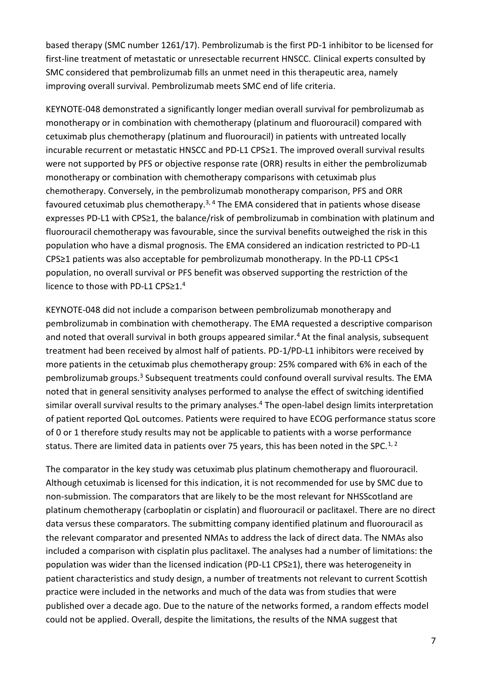based therapy (SMC number 1261/17). Pembrolizumab is the first PD-1 inhibitor to be licensed for first-line treatment of metastatic or unresectable recurrent HNSCC. Clinical experts consulted by SMC considered that pembrolizumab fills an unmet need in this therapeutic area, namely improving overall survival. Pembrolizumab meets SMC end of life criteria.

KEYNOTE-048 demonstrated a significantly longer median overall survival for pembrolizumab as monotherapy or in combination with chemotherapy (platinum and fluorouracil) compared with cetuximab plus chemotherapy (platinum and fluorouracil) in patients with untreated locally incurable recurrent or metastatic HNSCC and PD-L1 CPS≥1. The improved overall survival results were not supported by PFS or objective response rate (ORR) results in either the pembrolizumab monotherapy or combination with chemotherapy comparisons with cetuximab plus chemotherapy. Conversely, in the pembrolizumab monotherapy comparison, PFS and ORR favoured cetuximab plus chemotherapy.<sup>3, 4</sup> The EMA considered that in patients whose disease expresses PD-L1 with CPS≥1, the balance/risk of pembrolizumab in combination with platinum and fluorouracil chemotherapy was favourable, since the survival benefits outweighed the risk in this population who have a dismal prognosis. The EMA considered an indication restricted to PD-L1 CPS≥1 patients was also acceptable for pembrolizumab monotherapy. In the PD-L1 CPS<1 population, no overall survival or PFS benefit was observed supporting the restriction of the licence to those with PD-L1 CPS≥1.<sup>4</sup>

KEYNOTE-048 did not include a comparison between pembrolizumab monotherapy and pembrolizumab in combination with chemotherapy. The EMA requested a descriptive comparison and noted that overall survival in both groups appeared similar.<sup>4</sup> At the final analysis, subsequent treatment had been received by almost half of patients. PD-1/PD-L1 inhibitors were received by more patients in the cetuximab plus chemotherapy group: 25% compared with 6% in each of the pembrolizumab groups.<sup>3</sup> Subsequent treatments could confound overall survival results. The EMA noted that in general sensitivity analyses performed to analyse the effect of switching identified similar overall survival results to the primary analyses.<sup>4</sup> The open-label design limits interpretation of patient reported QoL outcomes. Patients were required to have ECOG performance status score of 0 or 1 therefore study results may not be applicable to patients with a worse performance status. There are limited data in patients over 75 years, this has been noted in the SPC.<sup>1, 2</sup>

The comparator in the key study was cetuximab plus platinum chemotherapy and fluorouracil. Although cetuximab is licensed for this indication, it is not recommended for use by SMC due to non-submission. The comparators that are likely to be the most relevant for NHSScotland are platinum chemotherapy (carboplatin or cisplatin) and fluorouracil or paclitaxel. There are no direct data versus these comparators. The submitting company identified platinum and fluorouracil as the relevant comparator and presented NMAs to address the lack of direct data. The NMAs also included a comparison with cisplatin plus paclitaxel. The analyses had a number of limitations: the population was wider than the licensed indication (PD-L1 CPS≥1), there was heterogeneity in patient characteristics and study design, a number of treatments not relevant to current Scottish practice were included in the networks and much of the data was from studies that were published over a decade ago. Due to the nature of the networks formed, a random effects model could not be applied. Overall, despite the limitations, the results of the NMA suggest that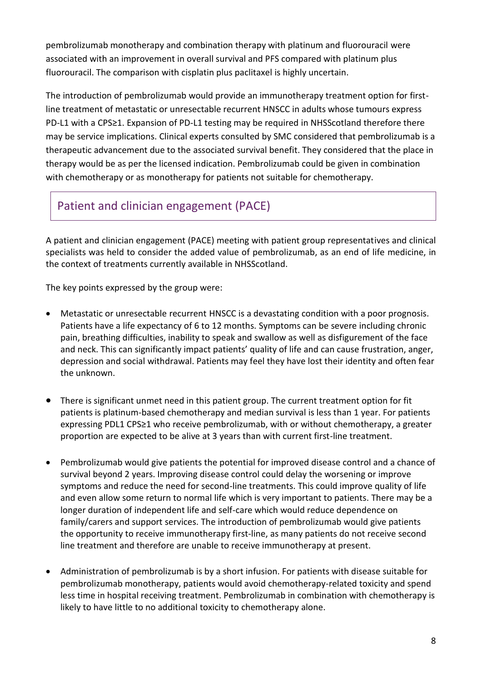pembrolizumab monotherapy and combination therapy with platinum and fluorouracil were associated with an improvement in overall survival and PFS compared with platinum plus fluorouracil. The comparison with cisplatin plus paclitaxel is highly uncertain.

The introduction of pembrolizumab would provide an immunotherapy treatment option for firstline treatment of metastatic or unresectable recurrent HNSCC in adults whose tumours express PD-L1 with a CPS≥1. Expansion of PD-L1 testing may be required in NHSScotland therefore there may be service implications. Clinical experts consulted by SMC considered that pembrolizumab is a therapeutic advancement due to the associated survival benefit. They considered that the place in therapy would be as per the licensed indication. Pembrolizumab could be given in combination with chemotherapy or as monotherapy for patients not suitable for chemotherapy.

# Patient and clinician engagement (PACE)

A patient and clinician engagement (PACE) meeting with patient group representatives and clinical specialists was held to consider the added value of pembrolizumab, as an end of life medicine, in the context of treatments currently available in NHSScotland.

The key points expressed by the group were:

- Metastatic or unresectable recurrent HNSCC is a devastating condition with a poor prognosis. Patients have a life expectancy of 6 to 12 months. Symptoms can be severe including chronic pain, breathing difficulties, inability to speak and swallow as well as disfigurement of the face and neck. This can significantly impact patients' quality of life and can cause frustration, anger, depression and social withdrawal. Patients may feel they have lost their identity and often fear the unknown.
- There is significant unmet need in this patient group. The current treatment option for fit patients is platinum-based chemotherapy and median survival is less than 1 year. For patients expressing PDL1 CPS≥1 who receive pembrolizumab, with or without chemotherapy, a greater proportion are expected to be alive at 3 years than with current first-line treatment.
- Pembrolizumab would give patients the potential for improved disease control and a chance of survival beyond 2 years. Improving disease control could delay the worsening or improve symptoms and reduce the need for second-line treatments. This could improve quality of life and even allow some return to normal life which is very important to patients. There may be a longer duration of independent life and self-care which would reduce dependence on family/carers and support services. The introduction of pembrolizumab would give patients the opportunity to receive immunotherapy first-line, as many patients do not receive second line treatment and therefore are unable to receive immunotherapy at present.
- Administration of pembrolizumab is by a short infusion. For patients with disease suitable for pembrolizumab monotherapy, patients would avoid chemotherapy-related toxicity and spend less time in hospital receiving treatment. Pembrolizumab in combination with chemotherapy is likely to have little to no additional toxicity to chemotherapy alone.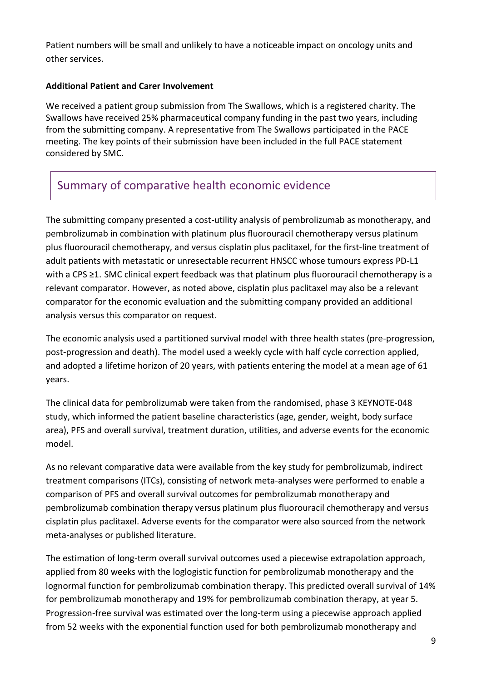Patient numbers will be small and unlikely to have a noticeable impact on oncology units and other services.

#### **Additional Patient and Carer Involvement**

We received a patient group submission from The Swallows, which is a registered charity. The Swallows have received 25% pharmaceutical company funding in the past two years, including from the submitting company. A representative from The Swallows participated in the PACE meeting. The key points of their submission have been included in the full PACE statement considered by SMC.

### Summary of comparative health economic evidence

The submitting company presented a cost-utility analysis of pembrolizumab as monotherapy, and pembrolizumab in combination with platinum plus fluorouracil chemotherapy versus platinum plus fluorouracil chemotherapy, and versus cisplatin plus paclitaxel, for the first-line treatment of adult patients with metastatic or unresectable recurrent HNSCC whose tumours express PD-L1 with a CPS ≥1. SMC clinical expert feedback was that platinum plus fluorouracil chemotherapy is a relevant comparator. However, as noted above, cisplatin plus paclitaxel may also be a relevant comparator for the economic evaluation and the submitting company provided an additional analysis versus this comparator on request.

The economic analysis used a partitioned survival model with three health states (pre-progression, post-progression and death). The model used a weekly cycle with half cycle correction applied, and adopted a lifetime horizon of 20 years, with patients entering the model at a mean age of 61 years.

The clinical data for pembrolizumab were taken from the randomised, phase 3 KEYNOTE-048 study, which informed the patient baseline characteristics (age, gender, weight, body surface area), PFS and overall survival, treatment duration, utilities, and adverse events for the economic model.

As no relevant comparative data were available from the key study for pembrolizumab, indirect treatment comparisons (ITCs), consisting of network meta-analyses were performed to enable a comparison of PFS and overall survival outcomes for pembrolizumab monotherapy and pembrolizumab combination therapy versus platinum plus fluorouracil chemotherapy and versus cisplatin plus paclitaxel. Adverse events for the comparator were also sourced from the network meta-analyses or published literature.

The estimation of long-term overall survival outcomes used a piecewise extrapolation approach, applied from 80 weeks with the loglogistic function for pembrolizumab monotherapy and the lognormal function for pembrolizumab combination therapy. This predicted overall survival of 14% for pembrolizumab monotherapy and 19% for pembrolizumab combination therapy, at year 5. Progression-free survival was estimated over the long-term using a piecewise approach applied from 52 weeks with the exponential function used for both pembrolizumab monotherapy and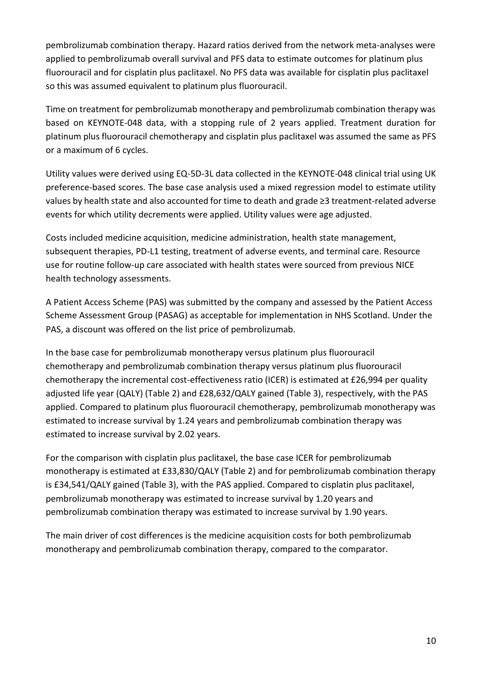pembrolizumab combination therapy. Hazard ratios derived from the network meta-analyses were applied to pembrolizumab overall survival and PFS data to estimate outcomes for platinum plus fluorouracil and for cisplatin plus paclitaxel. No PFS data was available for cisplatin plus paclitaxel so this was assumed equivalent to platinum plus fluorouracil.

Time on treatment for pembrolizumab monotherapy and pembrolizumab combination therapy was based on KEYNOTE-048 data, with a stopping rule of 2 years applied. Treatment duration for platinum plus fluorouracil chemotherapy and cisplatin plus paclitaxel was assumed the same as PFS or a maximum of 6 cycles.

Utility values were derived using EQ-5D-3L data collected in the KEYNOTE-048 clinical trial using UK preference-based scores. The base case analysis used a mixed regression model to estimate utility values by health state and also accounted for time to death and grade ≥3 treatment-related adverse events for which utility decrements were applied. Utility values were age adjusted.

Costs included medicine acquisition, medicine administration, health state management, subsequent therapies, PD-L1 testing, treatment of adverse events, and terminal care. Resource use for routine follow-up care associated with health states were sourced from previous NICE health technology assessments.

A Patient Access Scheme (PAS) was submitted by the company and assessed by the Patient Access Scheme Assessment Group (PASAG) as acceptable for implementation in NHS Scotland. Under the PAS, a discount was offered on the list price of pembrolizumab.

In the base case for pembrolizumab monotherapy versus platinum plus fluorouracil chemotherapy and pembrolizumab combination therapy versus platinum plus fluorouracil chemotherapy the incremental cost-effectiveness ratio (ICER) is estimated at £26,994 per quality adjusted life year (QALY) (Table 2) and £28,632/QALY gained (Table 3), respectively, with the PAS applied. Compared to platinum plus fluorouracil chemotherapy, pembrolizumab monotherapy was estimated to increase survival by 1.24 years and pembrolizumab combination therapy was estimated to increase survival by 2.02 years.

For the comparison with cisplatin plus paclitaxel, the base case ICER for pembrolizumab monotherapy is estimated at £33,830/QALY (Table 2) and for pembrolizumab combination therapy is £34,541/QALY gained (Table 3), with the PAS applied. Compared to cisplatin plus paclitaxel, pembrolizumab monotherapy was estimated to increase survival by 1.20 years and pembrolizumab combination therapy was estimated to increase survival by 1.90 years.

The main driver of cost differences is the medicine acquisition costs for both pembrolizumab monotherapy and pembrolizumab combination therapy, compared to the comparator.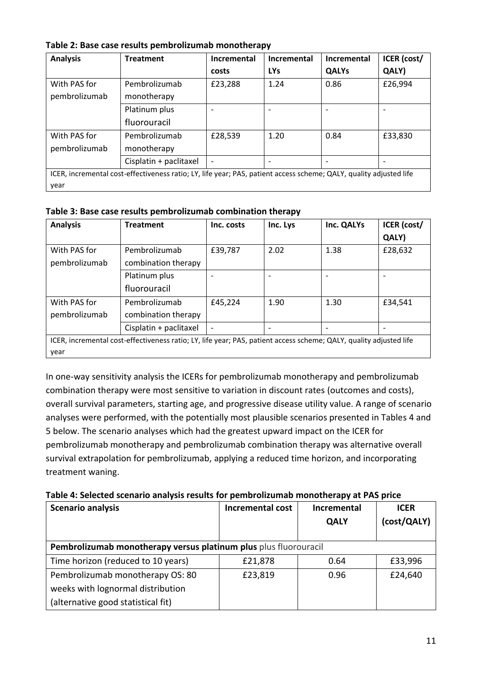| Table 2: Base case results pembrolizumab monotherapy |
|------------------------------------------------------|
|                                                      |

| <b>Analysis</b>                                                                                                    | <b>Treatment</b>       | Incremental              | Incremental | Incremental  | ICER (cost/ |
|--------------------------------------------------------------------------------------------------------------------|------------------------|--------------------------|-------------|--------------|-------------|
|                                                                                                                    |                        | costs                    | <b>LYs</b>  | <b>QALYs</b> | QALY)       |
| With PAS for                                                                                                       | Pembrolizumab          | £23,288                  | 1.24        | 0.86         | £26,994     |
| pembrolizumab                                                                                                      | monotherapy            |                          |             |              |             |
|                                                                                                                    | Platinum plus          | $\overline{\phantom{a}}$ |             |              |             |
|                                                                                                                    | fluorouracil           |                          |             |              |             |
| With PAS for                                                                                                       | Pembrolizumab          | £28,539                  | 1.20        | 0.84         | £33,830     |
| pembrolizumab                                                                                                      | monotherapy            |                          |             |              |             |
|                                                                                                                    | Cisplatin + paclitaxel | $\overline{\phantom{a}}$ |             |              |             |
| ICER, incremental cost-effectiveness ratio; LY, life year; PAS, patient access scheme; QALY, quality adjusted life |                        |                          |             |              |             |
| year                                                                                                               |                        |                          |             |              |             |

**Table 3: Base case results pembrolizumab combination therapy**

| <b>Analysis</b>                                                                                                    | <b>Treatment</b>       | Inc. costs               | Inc. Lys | Inc. QALYs | <b>ICER</b> (cost/ |
|--------------------------------------------------------------------------------------------------------------------|------------------------|--------------------------|----------|------------|--------------------|
|                                                                                                                    |                        |                          |          |            | QALY)              |
| With PAS for                                                                                                       | Pembrolizumab          | £39,787                  | 2.02     | 1.38       | £28,632            |
| pembrolizumab                                                                                                      | combination therapy    |                          |          |            |                    |
|                                                                                                                    | Platinum plus          | $\qquad \qquad$          |          |            |                    |
|                                                                                                                    | fluorouracil           |                          |          |            |                    |
| With PAS for                                                                                                       | Pembrolizumab          | £45,224                  | 1.90     | 1.30       | £34,541            |
| pembrolizumab                                                                                                      | combination therapy    |                          |          |            |                    |
|                                                                                                                    | Cisplatin + paclitaxel | $\overline{\phantom{a}}$ |          |            |                    |
| ICER, incremental cost-effectiveness ratio; LY, life year; PAS, patient access scheme; QALY, quality adjusted life |                        |                          |          |            |                    |
| year                                                                                                               |                        |                          |          |            |                    |

In one-way sensitivity analysis the ICERs for pembrolizumab monotherapy and pembrolizumab combination therapy were most sensitive to variation in discount rates (outcomes and costs), overall survival parameters, starting age, and progressive disease utility value. A range of scenario analyses were performed, with the potentially most plausible scenarios presented in Tables 4 and 5 below. The scenario analyses which had the greatest upward impact on the ICER for pembrolizumab monotherapy and pembrolizumab combination therapy was alternative overall survival extrapolation for pembrolizumab, applying a reduced time horizon, and incorporating treatment waning.

| <b>Scenario analysis</b>                                         | Incremental cost | Incremental<br><b>QALY</b> | <b>ICER</b><br>(cost/QALY) |
|------------------------------------------------------------------|------------------|----------------------------|----------------------------|
| Pembrolizumab monotherapy versus platinum plus plus fluorouracil |                  |                            |                            |
| Time horizon (reduced to 10 years)                               | £21,878          | 0.64                       | £33,996                    |
| Pembrolizumab monotherapy OS: 80                                 | £23,819          | 0.96                       | £24,640                    |
| weeks with lognormal distribution                                |                  |                            |                            |
| (alternative good statistical fit)                               |                  |                            |                            |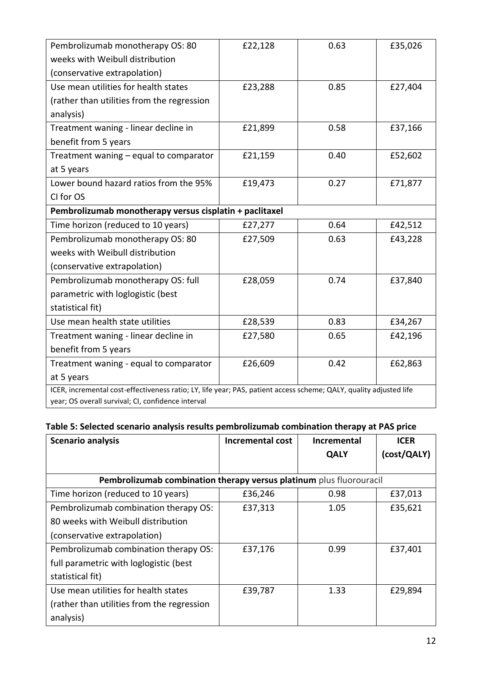| Pembrolizumab monotherapy OS: 80                                                                                   | £22,128 | 0.63 | £35,026 |  |  |
|--------------------------------------------------------------------------------------------------------------------|---------|------|---------|--|--|
| weeks with Weibull distribution                                                                                    |         |      |         |  |  |
| (conservative extrapolation)                                                                                       |         |      |         |  |  |
| Use mean utilities for health states                                                                               | £23,288 | 0.85 | £27,404 |  |  |
| (rather than utilities from the regression                                                                         |         |      |         |  |  |
| analysis)                                                                                                          |         |      |         |  |  |
| Treatment waning - linear decline in                                                                               | £21,899 | 0.58 | £37,166 |  |  |
| benefit from 5 years                                                                                               |         |      |         |  |  |
| Treatment waning - equal to comparator                                                                             | £21,159 | 0.40 | £52,602 |  |  |
| at 5 years                                                                                                         |         |      |         |  |  |
| Lower bound hazard ratios from the 95%                                                                             | £19,473 | 0.27 | £71,877 |  |  |
| CI for OS                                                                                                          |         |      |         |  |  |
| Pembrolizumab monotherapy versus cisplatin + paclitaxel                                                            |         |      |         |  |  |
| Time horizon (reduced to 10 years)                                                                                 | £27,277 | 0.64 | £42,512 |  |  |
| Pembrolizumab monotherapy OS: 80                                                                                   | £27,509 | 0.63 | £43,228 |  |  |
| weeks with Weibull distribution                                                                                    |         |      |         |  |  |
| (conservative extrapolation)                                                                                       |         |      |         |  |  |
| Pembrolizumab monotherapy OS: full                                                                                 | £28,059 | 0.74 | £37,840 |  |  |
| parametric with loglogistic (best                                                                                  |         |      |         |  |  |
| statistical fit)                                                                                                   |         |      |         |  |  |
| Use mean health state utilities                                                                                    | £28,539 | 0.83 | £34,267 |  |  |
| Treatment waning - linear decline in                                                                               | £27,580 | 0.65 | £42,196 |  |  |
| benefit from 5 years                                                                                               |         |      |         |  |  |
| Treatment waning - equal to comparator                                                                             | £26,609 | 0.42 | £62,863 |  |  |
| at 5 years                                                                                                         |         |      |         |  |  |
| ICER, incremental cost-effectiveness ratio; LY, life year; PAS, patient access scheme; QALY, quality adjusted life |         |      |         |  |  |
| year; OS overall survival; CI, confidence interval                                                                 |         |      |         |  |  |

#### **Table 5: Selected scenario analysis results pembrolizumab combination therapy at PAS price**

| <b>Scenario analysis</b>                                            | Incremental cost | <b>Incremental</b> | <b>ICER</b> |
|---------------------------------------------------------------------|------------------|--------------------|-------------|
|                                                                     |                  | <b>QALY</b>        | (cost/QALY) |
|                                                                     |                  |                    |             |
| Pembrolizumab combination therapy versus platinum plus fluorouracil |                  |                    |             |
| Time horizon (reduced to 10 years)                                  | £36,246          | 0.98               | £37,013     |
| Pembrolizumab combination therapy OS:                               | £37,313          | 1.05               | £35,621     |
| 80 weeks with Weibull distribution                                  |                  |                    |             |
| (conservative extrapolation)                                        |                  |                    |             |
| Pembrolizumab combination therapy OS:                               | £37,176          | 0.99               | £37,401     |
| full parametric with loglogistic (best                              |                  |                    |             |
| statistical fit)                                                    |                  |                    |             |
| Use mean utilities for health states                                | £39,787          | 1.33               | £29,894     |
| (rather than utilities from the regression                          |                  |                    |             |
| analysis)                                                           |                  |                    |             |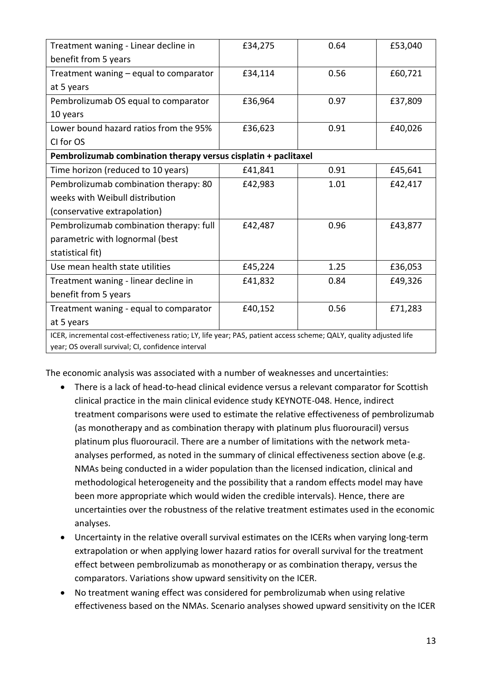| Treatment waning - Linear decline in                                                                               | £34,275 | 0.64 | £53,040 |  |  |
|--------------------------------------------------------------------------------------------------------------------|---------|------|---------|--|--|
| benefit from 5 years                                                                                               |         |      |         |  |  |
| Treatment waning - equal to comparator                                                                             | £34,114 | 0.56 | £60,721 |  |  |
| at 5 years                                                                                                         |         |      |         |  |  |
| Pembrolizumab OS equal to comparator                                                                               | £36,964 | 0.97 | £37,809 |  |  |
| 10 years                                                                                                           |         |      |         |  |  |
| Lower bound hazard ratios from the 95%                                                                             | £36,623 | 0.91 | £40,026 |  |  |
| CI for OS                                                                                                          |         |      |         |  |  |
| Pembrolizumab combination therapy versus cisplatin + paclitaxel                                                    |         |      |         |  |  |
| Time horizon (reduced to 10 years)                                                                                 | £41,841 | 0.91 | £45,641 |  |  |
| Pembrolizumab combination therapy: 80                                                                              | £42,983 | 1.01 | £42,417 |  |  |
| weeks with Weibull distribution                                                                                    |         |      |         |  |  |
| (conservative extrapolation)                                                                                       |         |      |         |  |  |
| Pembrolizumab combination therapy: full                                                                            | £42,487 | 0.96 | £43,877 |  |  |
| parametric with lognormal (best                                                                                    |         |      |         |  |  |
| statistical fit)                                                                                                   |         |      |         |  |  |
| Use mean health state utilities                                                                                    | £45,224 | 1.25 | £36,053 |  |  |
| Treatment waning - linear decline in                                                                               | £41,832 | 0.84 | £49,326 |  |  |
| benefit from 5 years                                                                                               |         |      |         |  |  |
| Treatment waning - equal to comparator                                                                             | £40,152 | 0.56 | £71,283 |  |  |
| at 5 years                                                                                                         |         |      |         |  |  |
| ICER, incremental cost-effectiveness ratio; LY, life year; PAS, patient access scheme; QALY, quality adjusted life |         |      |         |  |  |
| year; OS overall survival; CI, confidence interval                                                                 |         |      |         |  |  |

The economic analysis was associated with a number of weaknesses and uncertainties:

- There is a lack of head-to-head clinical evidence versus a relevant comparator for Scottish clinical practice in the main clinical evidence study KEYNOTE-048. Hence, indirect treatment comparisons were used to estimate the relative effectiveness of pembrolizumab (as monotherapy and as combination therapy with platinum plus fluorouracil) versus platinum plus fluorouracil. There are a number of limitations with the network metaanalyses performed, as noted in the summary of clinical effectiveness section above (e.g. NMAs being conducted in a wider population than the licensed indication, clinical and methodological heterogeneity and the possibility that a random effects model may have been more appropriate which would widen the credible intervals). Hence, there are uncertainties over the robustness of the relative treatment estimates used in the economic analyses.
- Uncertainty in the relative overall survival estimates on the ICERs when varying long-term extrapolation or when applying lower hazard ratios for overall survival for the treatment effect between pembrolizumab as monotherapy or as combination therapy, versus the comparators. Variations show upward sensitivity on the ICER.
- No treatment waning effect was considered for pembrolizumab when using relative effectiveness based on the NMAs. Scenario analyses showed upward sensitivity on the ICER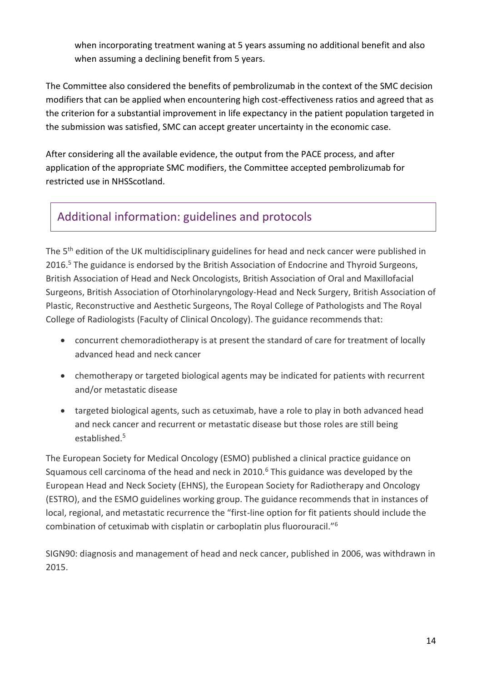when incorporating treatment waning at 5 years assuming no additional benefit and also when assuming a declining benefit from 5 years.

The Committee also considered the benefits of pembrolizumab in the context of the SMC decision modifiers that can be applied when encountering high cost-effectiveness ratios and agreed that as the criterion for a substantial improvement in life expectancy in the patient population targeted in the submission was satisfied, SMC can accept greater uncertainty in the economic case.

After considering all the available evidence, the output from the PACE process, and after application of the appropriate SMC modifiers, the Committee accepted pembrolizumab for restricted use in NHSScotland.

# Additional information: guidelines and protocols

The 5<sup>th</sup> edition of the UK multidisciplinary guidelines for head and neck cancer were published in 2016.<sup>5</sup> The guidance is endorsed by the British Association of Endocrine and Thyroid Surgeons, British Association of Head and Neck Oncologists, British Association of Oral and Maxillofacial Surgeons, British Association of Otorhinolaryngology-Head and Neck Surgery, British Association of Plastic, Reconstructive and Aesthetic Surgeons, The Royal College of Pathologists and The Royal College of Radiologists (Faculty of Clinical Oncology). The guidance recommends that:

- concurrent chemoradiotherapy is at present the standard of care for treatment of locally advanced head and neck cancer
- chemotherapy or targeted biological agents may be indicated for patients with recurrent and/or metastatic disease
- targeted biological agents, such as cetuximab, have a role to play in both advanced head and neck cancer and recurrent or metastatic disease but those roles are still being established.<sup>5</sup>

The European Society for Medical Oncology (ESMO) published a clinical practice guidance on Squamous cell carcinoma of the head and neck in  $2010<sup>6</sup>$  This guidance was developed by the European Head and Neck Society (EHNS), the European Society for Radiotherapy and Oncology (ESTRO), and the ESMO guidelines working group. The guidance recommends that in instances of local, regional, and metastatic recurrence the "first-line option for fit patients should include the combination of cetuximab with cisplatin or carboplatin plus fluorouracil."<sup>6</sup>

SIGN90: diagnosis and management of head and neck cancer, published in 2006, was withdrawn in 2015.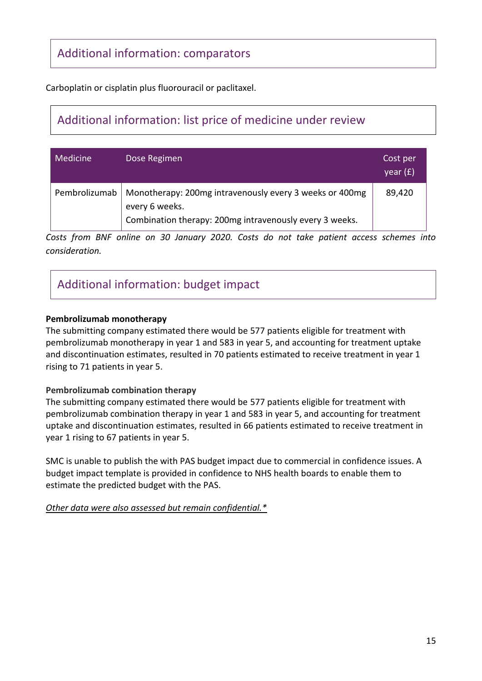### Additional information: comparators

Carboplatin or cisplatin plus fluorouracil or paclitaxel.

# Additional information: list price of medicine under review

| Medicine      | Dose Regimen                                                                                                                         | Cost per<br>year (£) |
|---------------|--------------------------------------------------------------------------------------------------------------------------------------|----------------------|
| Pembrolizumab | Monotherapy: 200mg intravenously every 3 weeks or 400mg<br>every 6 weeks.<br>Combination therapy: 200mg intravenously every 3 weeks. | 89,420               |

*Costs from BNF online on 30 January 2020. Costs do not take patient access schemes into consideration.*

## Additional information: budget impact

#### **Pembrolizumab monotherapy**

The submitting company estimated there would be 577 patients eligible for treatment with pembrolizumab monotherapy in year 1 and 583 in year 5, and accounting for treatment uptake and discontinuation estimates, resulted in 70 patients estimated to receive treatment in year 1 rising to 71 patients in year 5.

#### **Pembrolizumab combination therapy**

The submitting company estimated there would be 577 patients eligible for treatment with pembrolizumab combination therapy in year 1 and 583 in year 5, and accounting for treatment uptake and discontinuation estimates, resulted in 66 patients estimated to receive treatment in year 1 rising to 67 patients in year 5.

SMC is unable to publish the with PAS budget impact due to commercial in confidence issues. A budget impact template is provided in confidence to NHS health boards to enable them to estimate the predicted budget with the PAS.

*Other data were also assessed but remain confidential.\**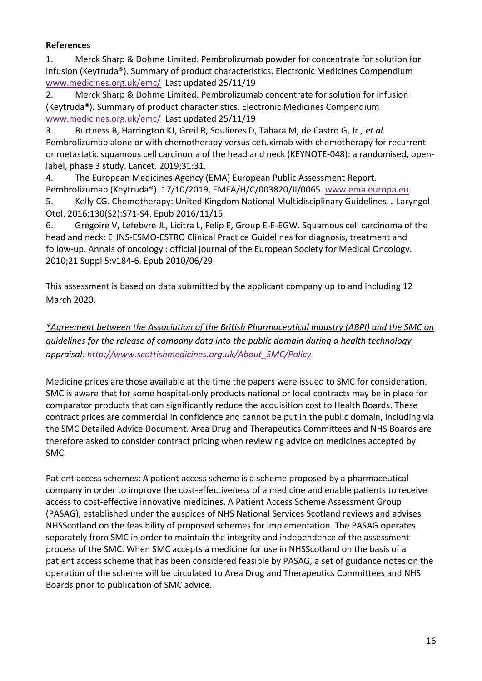#### **References**

1. Merck Sharp & Dohme Limited. Pembrolizumab powder for concentrate for solution for infusion (Keytruda®). Summary of product characteristics. Electronic Medicines Compendium [www.medicines.org.uk/emc/](file://///nhswfp01/data/SMC/Recommendations/2020%20Recommendations/pembrolizumab%20(Keytruda)%20%20with%20PAS%202257/-%20DRAFT%20WORKING%20DOCUMENTS%20FOLDER/CLINICAL/www.medicines.org.uk/emc/) Last updated 25/11/19

2. Merck Sharp & Dohme Limited. Pembrolizumab concentrate for solution for infusion (Keytruda®). Summary of product characteristics. Electronic Medicines Compendium [www.medicines.org.uk/emc/](file://///nhswfp01/data/SMC/Recommendations/2020%20Recommendations/pembrolizumab%20(Keytruda)%20%20with%20PAS%202257/-%20DRAFT%20WORKING%20DOCUMENTS%20FOLDER/CLINICAL/www.medicines.org.uk/emc/) Last updated 25/11/19

3. Burtness B, Harrington KJ, Greil R, Soulieres D, Tahara M, de Castro G, Jr.*, et al.* Pembrolizumab alone or with chemotherapy versus cetuximab with chemotherapy for recurrent or metastatic squamous cell carcinoma of the head and neck (KEYNOTE-048): a randomised, openlabel, phase 3 study. Lancet. 2019;31:31.

4. The European Medicines Agency (EMA) European Public Assessment Report. Pembrolizumab (Keytruda®). 17/10/2019, EMEA/H/C/003820/II/0065[. www.ema.europa.eu.](file://///nhswfp01/data/SMC/Recommendations/2020%20Recommendations/pembrolizumab%20(Keytruda)%20%20with%20PAS%202257/-%20DRAFT%20WORKING%20DOCUMENTS%20FOLDER/CLINICAL/www.ema.europa.eu)

5. Kelly CG. Chemotherapy: United Kingdom National Multidisciplinary Guidelines. J Laryngol Otol. 2016;130(S2):S71-S4. Epub 2016/11/15.

6. Gregoire V, Lefebvre JL, Licitra L, Felip E, Group E-E-EGW. Squamous cell carcinoma of the head and neck: EHNS-ESMO-ESTRO Clinical Practice Guidelines for diagnosis, treatment and follow-up. Annals of oncology : official journal of the European Society for Medical Oncology. 2010;21 Suppl 5:v184-6. Epub 2010/06/29.

This assessment is based on data submitted by the applicant company up to and including 12 March 2020.

*\*Agreement between the Association of the British Pharmaceutical Industry (ABPI) and the SMC on guidelines for the release of company data into the public domain during a health technology appraisal: [http://www.scottishmedicines.org.uk/About\\_SMC/Policy](http://www.scottishmedicines.org.uk/About_SMC/Policy)*

Medicine prices are those available at the time the papers were issued to SMC for consideration. SMC is aware that for some hospital-only products national or local contracts may be in place for comparator products that can significantly reduce the acquisition cost to Health Boards. These contract prices are commercial in confidence and cannot be put in the public domain, including via the SMC Detailed Advice Document. Area Drug and Therapeutics Committees and NHS Boards are therefore asked to consider contract pricing when reviewing advice on medicines accepted by SMC.

Patient access schemes: A patient access scheme is a scheme proposed by a pharmaceutical company in order to improve the cost-effectiveness of a medicine and enable patients to receive access to cost-effective innovative medicines. A Patient Access Scheme Assessment Group (PASAG), established under the auspices of NHS National Services Scotland reviews and advises NHSScotland on the feasibility of proposed schemes for implementation. The PASAG operates separately from SMC in order to maintain the integrity and independence of the assessment process of the SMC. When SMC accepts a medicine for use in NHSScotland on the basis of a patient access scheme that has been considered feasible by PASAG, a set of guidance notes on the operation of the scheme will be circulated to Area Drug and Therapeutics Committees and NHS Boards prior to publication of SMC advice.